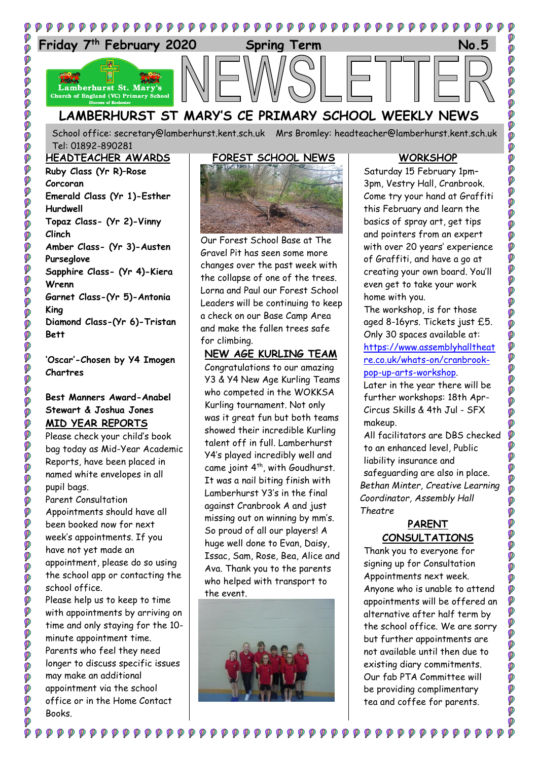

School office: [secretary@lamberhurst.kent.sch.uk](mailto:secretary@lamberhurst.kent.sch.uk) Mrs Bromley: headteacher@lamberhurst.kent.sch.uk Tel: 01892-890281

**HEADTEACHER AWARDS Ruby Class (Yr R)–Rose Corcoran Emerald Class (Yr 1)-Esther Hurdwell Topaz Class- (Yr 2)-Vinny Clinch Amber Class- (Yr 3)-Austen Purseglove Sapphire Class- (Yr 4)-Kiera Wrenn Garnet Class-(Yr 5)-Antonia King Diamond Class-(Yr 6)-Tristan Bett**

ø

0000

Ø Ø

Ø

**P** .<br>Ø

Ø

ø Ø

 $\ddot{\circ}$ 

Ø

Ø

**P** 

**POP** 

Ø

Ø Ø **O** ø

**PPP** 

OOO

Ø

**OC** 

ø

Ø

Ø

O

0000

Ó

**'Oscar'-Chosen by Y4 Imogen Chartres**

### **Best Manners Award-Anabel Stewart & Joshua Jones MID YEAR REPORTS**

Please check your child's book bag today as Mid-Year Academic Reports, have been placed in named white envelopes in all pupil bags. Parent Consultation

Appointments should have all been booked now for next week's appointments. If you have not yet made an appointment, please do so using the school app or contacting the school office. Please help us to keep to time

with appointments by arriving on time and only staying for the 10 minute appointment time. Parents who feel they need longer to discuss specific issues may make an additional appointment via the school office or in the Home Contact Books.

 ${\color{red}\blacktriangledown} {\color{green}\blacktriangledown} {\color{green}\varphi} {\color{green}\varphi} {\color{green}\varphi} {\color{green}\varphi} {\color{green}\varphi} {\color{green}\varphi} {\color{green}\varphi} {\color{green}\varphi} {\color{green}\varphi} {\color{green}\varphi} {\color{green}\varphi} {\color{green}\varphi}$ 



Our Forest School Base at The Gravel Pit has seen some more changes over the past week with the collapse of one of the trees. Lorna and Paul our Forest School Leaders will be continuing to keep a check on our Base Camp Area and make the fallen trees safe for climbing.

#### **NEW AGE KURLING TEAM**

Congratulations to our amazing Y3 & Y4 New Age Kurling Teams who competed in the WOKKSA Kurling tournament. Not only was it great fun but both teams showed their incredible Kurling talent off in full. Lamberhurst Y4's played incredibly well and came joint  $4^{th}$ , with Goudhurst. It was a nail biting finish with Lamberhurst Y3's in the final against Cranbrook A and just missing out on winning by mm's. So proud of all our players! A huge well done to Evan, Daisy, Issac, Sam, Rose, Bea, Alice and Ava. Thank you to the parents who helped with transport to the event.



Ø

#### **WORKSHOP**

Saturday 15 February 1pm– 3pm, Vestry Hall, Cranbrook. Come try your hand at Graffiti this February and learn the basics of spray art, get tips and pointers from an expert with over 20 years' experience of Graffiti, and have a go at creating your own board. You'll even get to take your work home with you.

The workshop, is for those aged 8-16yrs. Tickets just £5. Only 30 spaces available at: [https://www.assemblyhalltheat](https://www.assemblyhalltheatre.co.uk/whats-on/cranbrook-pop-up-arts-workshop) [re.co.uk/whats-on/cranbrook](https://www.assemblyhalltheatre.co.uk/whats-on/cranbrook-pop-up-arts-workshop)[pop-up-arts-workshop.](https://www.assemblyhalltheatre.co.uk/whats-on/cranbrook-pop-up-arts-workshop)

Later in the year there will be further workshops: 18th Apr-Circus Skills & 4th Jul - SFX makeup.

All facilitators are DBS checked to an enhanced level, Public liability insurance and safeguarding are also in place. *Bethan Minter, Creative Learning Coordinator, Assembly Hall Theatre*

#### **PARENT CONSULTATIONS**

Thank you to everyone for signing up for Consultation Appointments next week. Anyone who is unable to attend appointments will be offered an alternative after half term by the school office. We are sorry but further appointments are not available until then due to existing diary commitments. Our fab PTA Committee will be providing complimentary tea and coffee for parents.

 $\bullet$   $\bullet$   $\bullet$   $\bullet$   $\bullet$   $\bullet$   $\bullet$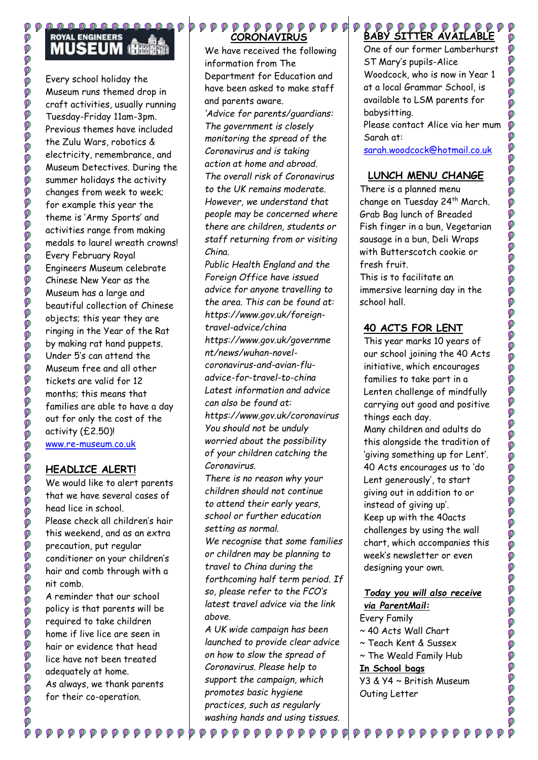## **ROYAL ENGINEERS MUSEUM AREA**

Ø **O** 

Ø

000000

0000000

Ø

Ø

000000

000

000000

Ø **PPP** 

**DOO** 

Ø

**PO** 

O O O O O O O O

**O** 

0000

**DDDDDDDDDDDDDDDDDDDDDDDDDDDDD** 

**DOO** 

ø ø Ó

Ø

Every school holiday the Museum runs themed drop in craft activities, usually running Tuesday-Friday 11am-3pm. Previous themes have included the Zulu Wars, robotics & electricity, remembrance, and Museum Detectives. During the summer holidays the activity changes from week to week; for example this year the theme is 'Army Sports' and activities range from making medals to laurel wreath crowns! Every February Royal Engineers Museum celebrate Chinese New Year as the Museum has a large and beautiful collection of Chinese objects; this year they are ringing in the Year of the Rat by making rat hand puppets. Under 5's can attend the Museum free and all other tickets are valid for 12 months; this means that families are able to have a day out for only the cost of the activity (£2.50)! [www.re-museum.co.uk](http://www.re-museum.co.uk/)

## **HEADLICE ALERT!**

We would like to alert parents that we have several cases of head lice in school. Please check all children's hair this weekend, and as an extra precaution, put regular conditioner on your children's hair and comb through with a nit comb.

A reminder that our school policy is that parents will be required to take children home if live lice are seen in hair or evidence that head lice have not been treated adequately at home. As always, we thank parents for their co-operation.

 ${\color{OliveGreen}\bullet} {\color{OliveGreen}\bullet} {\color{OliveGreen}\bullet} {\color{OliveGreen}\bullet} {\color{OliveGreen}\bullet} {\color{OliveGreen}\bullet} {\color{OliveGreen}\bullet} {\color{OliveGreen}\bullet} {\color{OliveGreen}\bullet} {\color{OliveGreen}\bullet} {\color{OliveGreen}\bullet} {\color{OliveGreen}\bullet} {\color{OliveGreen}\bullet} {\color{OliveGreen}\bullet} {\color{OliveGreen}\bullet} {\color{OliveGreen}\bullet} {\color{OliveGreen}\bullet} {\color{OliveGreen}\bullet} {\color{OliveGreen}\bullet} {\color{OliveGreen}\bullet} {\color{OliveGreen}\bullet} {\color{OliveGreen}\bullet} {\color{OliveGreen}\bullet} {\color{OliveGreen}\bullet} {\color{O$ 

## **CORONAVIRUS**

We have received the following information from The Department for Education and have been asked to make staff and parents aware. *'Advice for parents/guardians: The government is closely monitoring the spread of the Coronavirus and is taking action at home and abroad. The overall risk of Coronavirus to the UK remains moderate. However, we understand that people may be concerned where there are children, students or staff returning from or visiting China.*

*Public Health England and the Foreign Office have issued advice for anyone travelling to the area. This can be found at: https://www.gov.uk/foreigntravel-advice/china https://www.gov.uk/governme nt/news/wuhan-novelcoronavirus-and-avian-fluadvice-for-travel-to-china Latest information and advice can also be found at: https://www.gov.uk/coronavirus You should not be unduly worried about the possibility of your children catching the Coronavirus.* 

*There is no reason why your children should not continue to attend their early years, school or further education setting as normal.* 

*We recognise that some families or children may be planning to travel to China during the forthcoming half term period. If so, please refer to the FCO's latest travel advice via the link above.* 

*A UK wide campaign has been launched to provide clear advice on how to slow the spread of Coronavirus. Please help to support the campaign, which promotes basic hygiene practices, such as regularly washing hands and using tissues.*

 $\begin{array}{c} \phi \hspace{0.2cm} \phi \hspace{0.2cm} \phi \hspace{0.2cm} \phi \hspace{0.2cm} \phi \hspace{0.2cm} \phi \hspace{0.2cm} \phi \hspace{0.2cm} \phi \hspace{0.2cm} \phi \hspace{0.2cm} \phi \hspace{0.2cm} \phi \hspace{0.2cm} \phi \hspace{0.2cm} \phi \hspace{0.2cm} \phi \hspace{0.2cm} \phi \hspace{0.2cm} \phi \hspace{0.2cm} \phi \hspace{0.2cm} \phi \hspace{0.2cm} \phi \hspace{0.2cm} \phi \hs$ 

# **BABY SITTER AVAILABLE**

One of our former Lamberhurst ST Mary's pupils-Alice Woodcock, who is now in Year 1 at a local Grammar School, is available to LSM parents for babysitting.

Please contact Alice via her mum Sarah at:

[sarah.woodcock@hotmail.co.uk](mailto:sarah.woodcock@hotmail.co.uk)

## **LUNCH MENU CHANGE**

There is a planned menu change on Tuesday 24th March. Grab Bag lunch of Breaded Fish finger in a bun, Vegetarian sausage in a bun, Deli Wraps with Butterscotch cookie or fresh fruit. This is to facilitate an

immersive learning day in the school hall.

## **40 ACTS FOR LENT**

This year marks 10 years of our school joining the 40 Acts initiative, which encourages families to take part in a Lenten challenge of mindfully carrying out good and positive things each day.

Many children and adults do this alongside the tradition of 'giving something up for Lent'. 40 Acts encourages us to 'do Lent generously', to start giving out in addition to or instead of giving up'. Keep up with the 40acts challenges by using the wall chart, which accompanies this week's newsletter or even designing your own.

#### *Today you will also receive via ParentMail:*

Every Family ~ 40 Acts Wall Chart ~ Teach Kent & Sussex ~ The Weald Family Hub **In School bags** Y3 & Y4 ~ British Museum Outing Letter

 $\begin{array}{ccccc} \circ & \circ & \circ & \circ & \circ \end{array}$ 

Ø